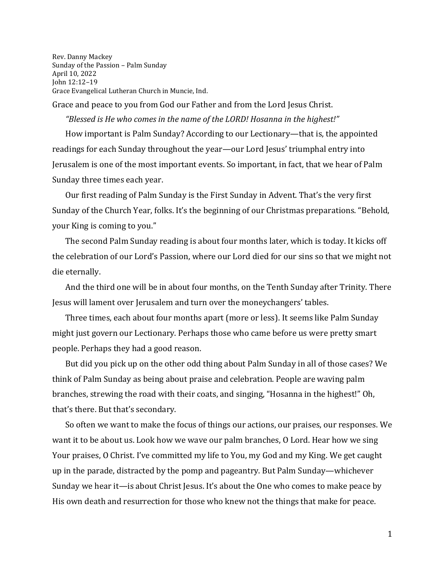Rev. Danny Mackey Sunday of the Passion – Palm Sunday April 10, 2022 John 12:12–19 Grace Evangelical Lutheran Church in Muncie, Ind.

Grace and peace to you from God our Father and from the Lord Jesus Christ.

*"Blessed is He who comes in the name of the LORD! Hosanna in the highest!"* How important is Palm Sunday? According to our Lectionary—that is, the appointed readings for each Sunday throughout the year—our Lord Jesus' triumphal entry into Jerusalem is one of the most important events. So important, in fact, that we hear of Palm Sunday three times each year.

Our first reading of Palm Sunday is the First Sunday in Advent. That's the very first Sunday of the Church Year, folks. It's the beginning of our Christmas preparations. "Behold, your King is coming to you."

The second Palm Sunday reading is about four months later, which is today. It kicks off the celebration of our Lord's Passion, where our Lord died for our sins so that we might not die eternally.

And the third one will be in about four months, on the Tenth Sunday after Trinity. There Jesus will lament over Jerusalem and turn over the moneychangers' tables.

Three times, each about four months apart (more or less). It seems like Palm Sunday might just govern our Lectionary. Perhaps those who came before us were pretty smart people. Perhaps they had a good reason.

But did you pick up on the other odd thing about Palm Sunday in all of those cases? We think of Palm Sunday as being about praise and celebration. People are waving palm branches, strewing the road with their coats, and singing, "Hosanna in the highest!" Oh, that's there. But that's secondary.

So often we want to make the focus of things our actions, our praises, our responses. We want it to be about us. Look how we wave our palm branches, O Lord. Hear how we sing Your praises, O Christ. I've committed my life to You, my God and my King. We get caught up in the parade, distracted by the pomp and pageantry. But Palm Sunday—whichever Sunday we hear it—is about Christ Jesus. It's about the One who comes to make peace by His own death and resurrection for those who knew not the things that make for peace.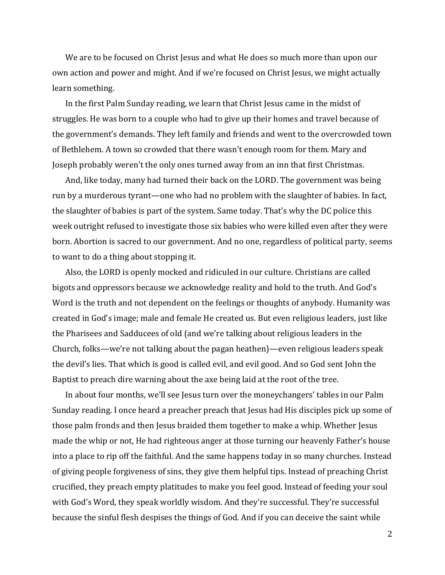We are to be focused on Christ Jesus and what He does so much more than upon our own action and power and might. And if we're focused on Christ Jesus, we might actually learn something.

In the first Palm Sunday reading, we learn that Christ Jesus came in the midst of struggles. He was born to a couple who had to give up their homes and travel because of the government's demands. They left family and friends and went to the overcrowded town of Bethlehem. A town so crowded that there wasn't enough room for them. Mary and Joseph probably weren't the only ones turned away from an inn that first Christmas.

And, like today, many had turned their back on the LORD. The government was being run by a murderous tyrant—one who had no problem with the slaughter of babies. In fact, the slaughter of babies is part of the system. Same today. That's why the DC police this week outright refused to investigate those six babies who were killed even after they were born. Abortion is sacred to our government. And no one, regardless of political party, seems to want to do a thing about stopping it.

Also, the LORD is openly mocked and ridiculed in our culture. Christians are called bigots and oppressors because we acknowledge reality and hold to the truth. And God's Word is the truth and not dependent on the feelings or thoughts of anybody. Humanity was created in God's image; male and female He created us. But even religious leaders, just like the Pharisees and Sadducees of old (and we're talking about religious leaders in the Church, folks—we're not talking about the pagan heathen)—even religious leaders speak the devil's lies. That which is good is called evil, and evil good. And so God sent John the Baptist to preach dire warning about the axe being laid at the root of the tree.

In about four months, we'll see Jesus turn over the moneychangers' tables in our Palm Sunday reading. I once heard a preacher preach that Jesus had His disciples pick up some of those palm fronds and then Jesus braided them together to make a whip. Whether Jesus made the whip or not, He had righteous anger at those turning our heavenly Father's house into a place to rip off the faithful. And the same happens today in so many churches. Instead of giving people forgiveness of sins, they give them helpful tips. Instead of preaching Christ crucified, they preach empty platitudes to make you feel good. Instead of feeding your soul with God's Word, they speak worldly wisdom. And they're successful. They're successful because the sinful flesh despises the things of God. And if you can deceive the saint while

2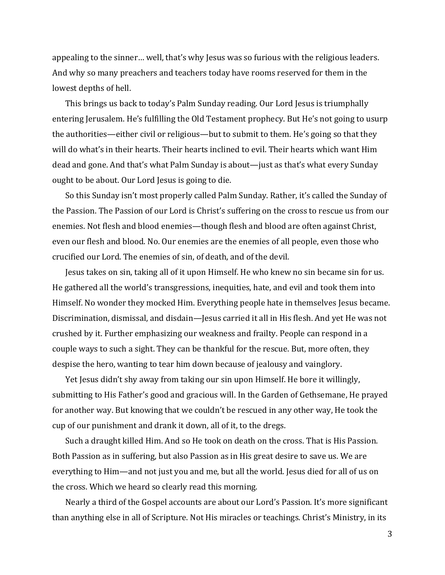appealing to the sinner… well, that's why Jesus was so furious with the religious leaders. And why so many preachers and teachers today have rooms reserved for them in the lowest depths of hell.

This brings us back to today's Palm Sunday reading. Our Lord Jesus is triumphally entering Jerusalem. He's fulfilling the Old Testament prophecy. But He's not going to usurp the authorities—either civil or religious—but to submit to them. He's going so that they will do what's in their hearts. Their hearts inclined to evil. Their hearts which want Him dead and gone. And that's what Palm Sunday is about—just as that's what every Sunday ought to be about. Our Lord Jesus is going to die.

So this Sunday isn't most properly called Palm Sunday. Rather, it's called the Sunday of the Passion. The Passion of our Lord is Christ's suffering on the cross to rescue us from our enemies. Not flesh and blood enemies—though flesh and blood are often against Christ, even our flesh and blood. No. Our enemies are the enemies of all people, even those who crucified our Lord. The enemies of sin, of death, and of the devil.

Jesus takes on sin, taking all of it upon Himself. He who knew no sin became sin for us. He gathered all the world's transgressions, inequities, hate, and evil and took them into Himself. No wonder they mocked Him. Everything people hate in themselves Jesus became. Discrimination, dismissal, and disdain—Jesus carried it all in His flesh. And yet He was not crushed by it. Further emphasizing our weakness and frailty. People can respond in a couple ways to such a sight. They can be thankful for the rescue. But, more often, they despise the hero, wanting to tear him down because of jealousy and vainglory.

Yet Jesus didn't shy away from taking our sin upon Himself. He bore it willingly, submitting to His Father's good and gracious will. In the Garden of Gethsemane, He prayed for another way. But knowing that we couldn't be rescued in any other way, He took the cup of our punishment and drank it down, all of it, to the dregs.

Such a draught killed Him. And so He took on death on the cross. That is His Passion. Both Passion as in suffering, but also Passion as in His great desire to save us. We are everything to Him—and not just you and me, but all the world. Jesus died for all of us on the cross. Which we heard so clearly read this morning.

Nearly a third of the Gospel accounts are about our Lord's Passion. It's more significant than anything else in all of Scripture. Not His miracles or teachings. Christ's Ministry, in its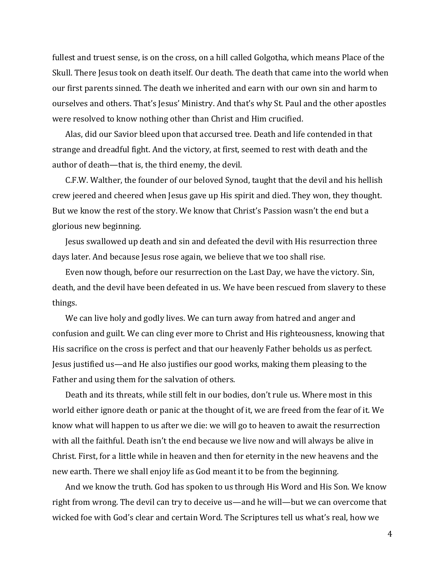fullest and truest sense, is on the cross, on a hill called Golgotha, which means Place of the Skull. There Jesus took on death itself. Our death. The death that came into the world when our first parents sinned. The death we inherited and earn with our own sin and harm to ourselves and others. That's Jesus' Ministry. And that's why St. Paul and the other apostles were resolved to know nothing other than Christ and Him crucified.

Alas, did our Savior bleed upon that accursed tree. Death and life contended in that strange and dreadful fight. And the victory, at first, seemed to rest with death and the author of death—that is, the third enemy, the devil.

C.F.W. Walther, the founder of our beloved Synod, taught that the devil and his hellish crew jeered and cheered when Jesus gave up His spirit and died. They won, they thought. But we know the rest of the story. We know that Christ's Passion wasn't the end but a glorious new beginning.

Jesus swallowed up death and sin and defeated the devil with His resurrection three days later. And because Jesus rose again, we believe that we too shall rise.

Even now though, before our resurrection on the Last Day, we have the victory. Sin, death, and the devil have been defeated in us. We have been rescued from slavery to these things.

We can live holy and godly lives. We can turn away from hatred and anger and confusion and guilt. We can cling ever more to Christ and His righteousness, knowing that His sacrifice on the cross is perfect and that our heavenly Father beholds us as perfect. Jesus justified us—and He also justifies our good works, making them pleasing to the Father and using them for the salvation of others.

Death and its threats, while still felt in our bodies, don't rule us. Where most in this world either ignore death or panic at the thought of it, we are freed from the fear of it. We know what will happen to us after we die: we will go to heaven to await the resurrection with all the faithful. Death isn't the end because we live now and will always be alive in Christ. First, for a little while in heaven and then for eternity in the new heavens and the new earth. There we shall enjoy life as God meant it to be from the beginning.

And we know the truth. God has spoken to us through His Word and His Son. We know right from wrong. The devil can try to deceive us—and he will—but we can overcome that wicked foe with God's clear and certain Word. The Scriptures tell us what's real, how we